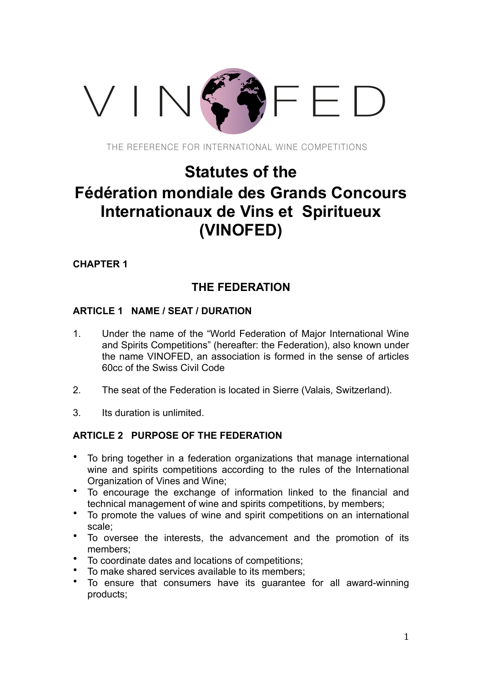# VIN<sup>C</sup>

THE REFERENCE FOR INTERNATIONAL WINE COMPETITIONS

# **Statutes of the Fédération mondiale des Grands Concours Internationaux de Vins et Spiritueux (VINOFED)**

**CHAPTER 1**

## **THE FEDERATION**

## **ARTICLE 1 NAME / SEAT / DURATION**

- 1. Under the name of the "World Federation of Major International Wine and Spirits Competitions" (hereafter: the Federation), also known under the name VINOFED, an association is formed in the sense of articles 60cc of the Swiss Civil Code
- 2. The seat of the Federation is located in Sierre (Valais, Switzerland).
- 3. Its duration is unlimited.

## **ARTICLE 2 PURPOSE OF THE FEDERATION**

- To bring together in a federation organizations that manage international wine and spirits competitions according to the rules of the International Organization of Vines and Wine;
- To encourage the exchange of information linked to the financial and technical management of wine and spirits competitions, by members;
- To promote the values of wine and spirit competitions on an international scale;
- To oversee the interests, the advancement and the promotion of its members;
- To coordinate dates and locations of competitions;
- To make shared services available to its members;
- To ensure that consumers have its guarantee for all award-winning products;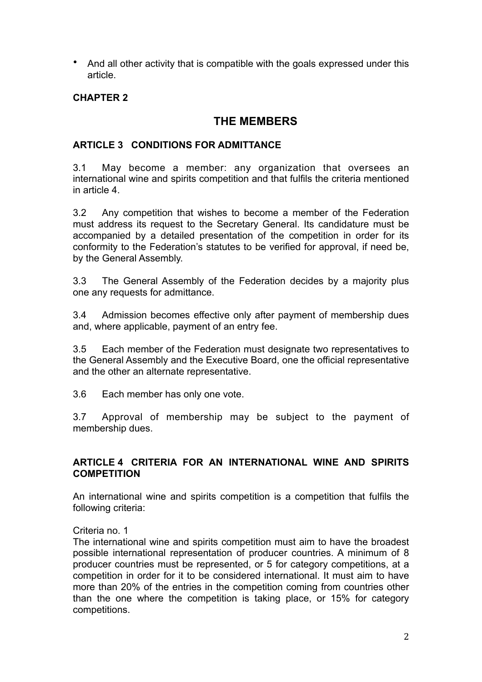• And all other activity that is compatible with the goals expressed under this article.

## **CHAPTER 2**

## **THE MEMBERS**

## **ARTICLE 3 CONDITIONS FOR ADMITTANCE**

3.1 May become a member: any organization that oversees an international wine and spirits competition and that fulfils the criteria mentioned in article 4.

3.2 Any competition that wishes to become a member of the Federation must address its request to the Secretary General. Its candidature must be accompanied by a detailed presentation of the competition in order for its conformity to the Federation's statutes to be verified for approval, if need be, by the General Assembly.

3.3 The General Assembly of the Federation decides by a majority plus one any requests for admittance.

3.4 Admission becomes effective only after payment of membership dues and, where applicable, payment of an entry fee.

3.5 Each member of the Federation must designate two representatives to the General Assembly and the Executive Board, one the official representative and the other an alternate representative.

3.6 Each member has only one vote.

3.7 Approval of membership may be subject to the payment of membership dues.

## **ARTICLE 4 CRITERIA FOR AN INTERNATIONAL WINE AND SPIRITS COMPETITION**

An international wine and spirits competition is a competition that fulfils the following criteria:

## Criteria no. 1

The international wine and spirits competition must aim to have the broadest possible international representation of producer countries. A minimum of 8 producer countries must be represented, or 5 for category competitions, at a competition in order for it to be considered international. It must aim to have more than 20% of the entries in the competition coming from countries other than the one where the competition is taking place, or 15% for category competitions.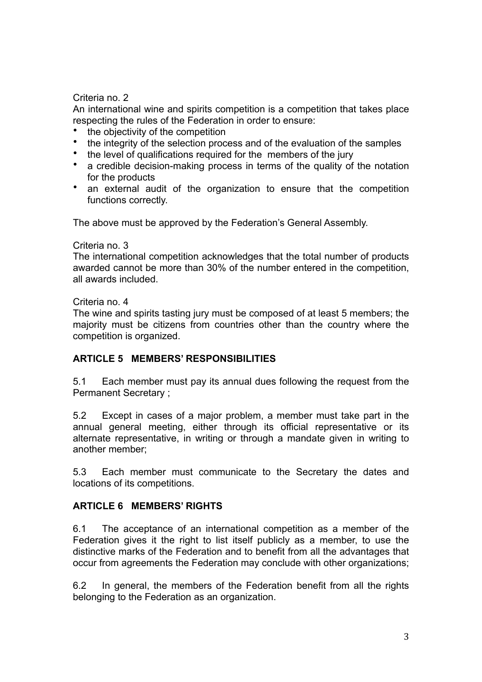## Criteria no. 2

An international wine and spirits competition is a competition that takes place respecting the rules of the Federation in order to ensure:

- the objectivity of the competition
- the integrity of the selection process and of the evaluation of the samples
- the level of qualifications required for the members of the jury
- a credible decision-making process in terms of the quality of the notation for the products
- an external audit of the organization to ensure that the competition functions correctly.

The above must be approved by the Federation's General Assembly.

#### Criteria no. 3

The international competition acknowledges that the total number of products awarded cannot be more than 30% of the number entered in the competition, all awards included.

#### Criteria no. 4

The wine and spirits tasting jury must be composed of at least 5 members; the majority must be citizens from countries other than the country where the competition is organized.

## **ARTICLE 5 MEMBERS' RESPONSIBILITIES**

5.1 Each member must pay its annual dues following the request from the Permanent Secretary ;

5.2 Except in cases of a major problem, a member must take part in the annual general meeting, either through its official representative or its alternate representative, in writing or through a mandate given in writing to another member;

5.3 Each member must communicate to the Secretary the dates and locations of its competitions.

## **ARTICLE 6 MEMBERS' RIGHTS**

6.1 The acceptance of an international competition as a member of the Federation gives it the right to list itself publicly as a member, to use the distinctive marks of the Federation and to benefit from all the advantages that occur from agreements the Federation may conclude with other organizations;

6.2 In general, the members of the Federation benefit from all the rights belonging to the Federation as an organization.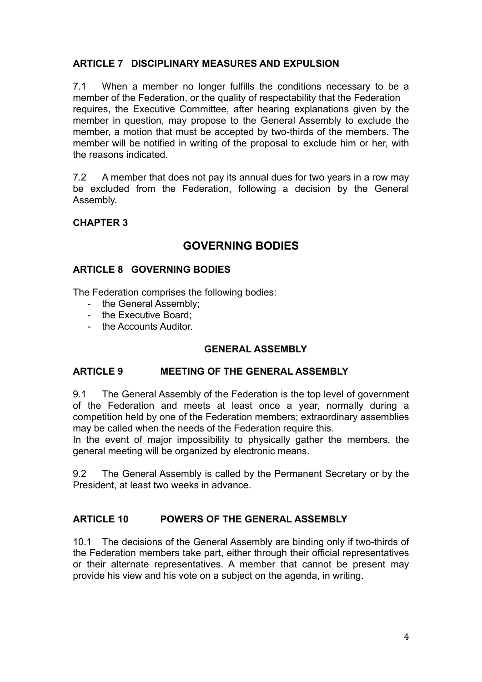## **ARTICLE 7 DISCIPLINARY MEASURES AND EXPULSION**

7.1 When a member no longer fulfills the conditions necessary to be a member of the Federation, or the quality of respectability that the Federation requires, the Executive Committee, after hearing explanations given by the member in question, may propose to the General Assembly to exclude the member, a motion that must be accepted by two-thirds of the members. The member will be notified in writing of the proposal to exclude him or her, with the reasons indicated.

7.2 A member that does not pay its annual dues for two years in a row may be excluded from the Federation, following a decision by the General Assembly.

## **CHAPTER 3**

## **GOVERNING BODIES**

## **ARTICLE 8 GOVERNING BODIES**

The Federation comprises the following bodies:

- the General Assembly;
- the Executive Board;
- the Accounts Auditor.

## **GENERAL ASSEMBLY**

## **ARTICLE 9 MEETING OF THE GENERAL ASSEMBLY**

9.1 The General Assembly of the Federation is the top level of government of the Federation and meets at least once a year, normally during a competition held by one of the Federation members; extraordinary assemblies may be called when the needs of the Federation require this.

In the event of major impossibility to physically gather the members, the general meeting will be organized by electronic means.

9.2 The General Assembly is called by the Permanent Secretary or by the President, at least two weeks in advance.

## **ARTICLE 10 POWERS OF THE GENERAL ASSEMBLY**

10.1 The decisions of the General Assembly are binding only if two-thirds of the Federation members take part, either through their official representatives or their alternate representatives. A member that cannot be present may provide his view and his vote on a subject on the agenda, in writing.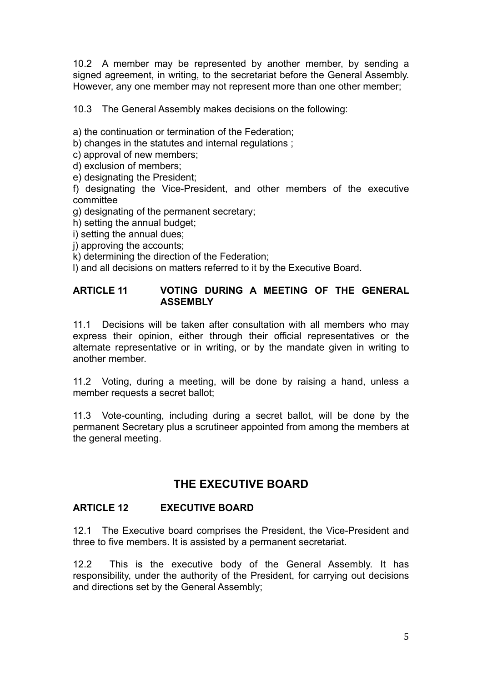10.2 A member may be represented by another member, by sending a signed agreement, in writing, to the secretariat before the General Assembly. However, any one member may not represent more than one other member;

10.3 The General Assembly makes decisions on the following:

a) the continuation or termination of the Federation;

b) changes in the statutes and internal regulations ;

c) approval of new members;

d) exclusion of members;

e) designating the President;

f) designating the Vice-President, and other members of the executive committee

g) designating of the permanent secretary;

h) setting the annual budget;

- i) setting the annual dues;
- j) approving the accounts;

k) determining the direction of the Federation;

l) and all decisions on matters referred to it by the Executive Board.

## **ARTICLE 11 VOTING DURING A MEETING OF THE GENERAL ASSEMBLY**

11.1 Decisions will be taken after consultation with all members who may express their opinion, either through their official representatives or the alternate representative or in writing, or by the mandate given in writing to another member.

11.2 Voting, during a meeting, will be done by raising a hand, unless a member requests a secret ballot;

11.3 Vote-counting, including during a secret ballot, will be done by the permanent Secretary plus a scrutineer appointed from among the members at the general meeting.

## **THE EXECUTIVE BOARD**

## **ARTICLE 12 EXECUTIVE BOARD**

12.1 The Executive board comprises the President, the Vice-President and three to five members. It is assisted by a permanent secretariat.

12.2 This is the executive body of the General Assembly. It has responsibility, under the authority of the President, for carrying out decisions and directions set by the General Assembly;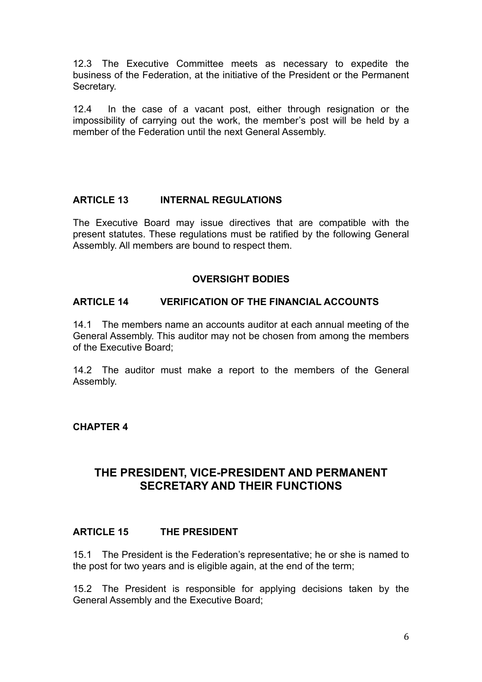12.3 The Executive Committee meets as necessary to expedite the business of the Federation, at the initiative of the President or the Permanent Secretary.

12.4 In the case of a vacant post, either through resignation or the impossibility of carrying out the work, the member's post will be held by a member of the Federation until the next General Assembly.

## **ARTICLE 13 INTERNAL REGULATIONS**

The Executive Board may issue directives that are compatible with the present statutes. These regulations must be ratified by the following General Assembly. All members are bound to respect them.

## **OVERSIGHT BODIES**

## **ARTICLE 14 VERIFICATION OF THE FINANCIAL ACCOUNTS**

14.1 The members name an accounts auditor at each annual meeting of the General Assembly. This auditor may not be chosen from among the members of the Executive Board;

14.2 The auditor must make a report to the members of the General Assembly.

## **CHAPTER 4**

## **THE PRESIDENT, VICE-PRESIDENT AND PERMANENT SECRETARY AND THEIR FUNCTIONS**

## **ARTICLE 15 THE PRESIDENT**

15.1 The President is the Federation's representative; he or she is named to the post for two years and is eligible again, at the end of the term;

15.2 The President is responsible for applying decisions taken by the General Assembly and the Executive Board;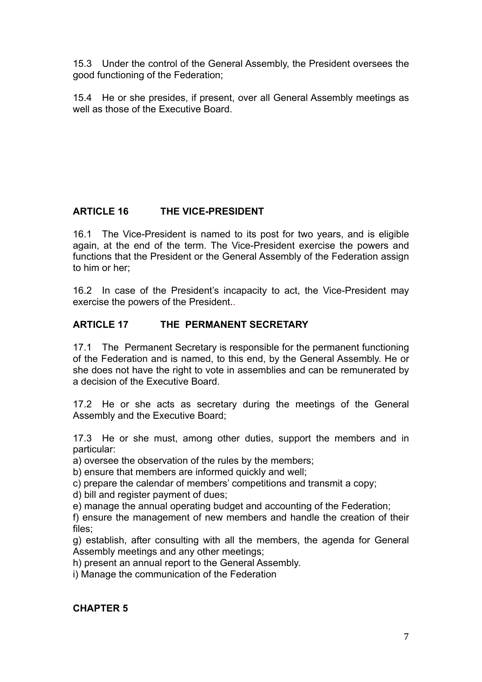15.3 Under the control of the General Assembly, the President oversees the good functioning of the Federation;

15.4 He or she presides, if present, over all General Assembly meetings as well as those of the Executive Board.

## **ARTICLE 16 THE VICE-PRESIDENT**

16.1 The Vice-President is named to its post for two years, and is eligible again, at the end of the term. The Vice-President exercise the powers and functions that the President or the General Assembly of the Federation assign to him or her;

16.2 In case of the President's incapacity to act, the Vice-President may exercise the powers of the President..

## **ARTICLE 17 THE PERMANENT SECRETARY**

17.1 The Permanent Secretary is responsible for the permanent functioning of the Federation and is named, to this end, by the General Assembly. He or she does not have the right to vote in assemblies and can be remunerated by a decision of the Executive Board.

17.2 He or she acts as secretary during the meetings of the General Assembly and the Executive Board;

17.3 He or she must, among other duties, support the members and in particular:

a) oversee the observation of the rules by the members;

b) ensure that members are informed quickly and well;

c) prepare the calendar of members' competitions and transmit a copy;

d) bill and register payment of dues;

e) manage the annual operating budget and accounting of the Federation;

f) ensure the management of new members and handle the creation of their files;

g) establish, after consulting with all the members, the agenda for General Assembly meetings and any other meetings;

h) present an annual report to the General Assembly.

i) Manage the communication of the Federation

## **CHAPTER 5**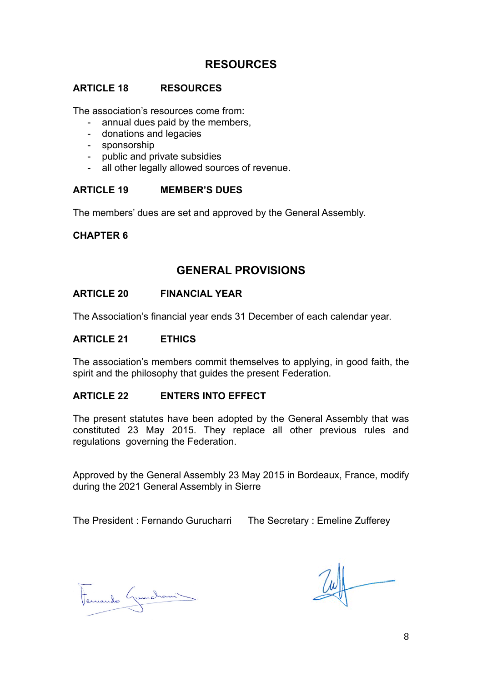## **RESOURCES**

#### **ARTICLE 18 RESOURCES**

The association's resources come from:

- annual dues paid by the members,
- donations and legacies
- sponsorship
- public and private subsidies
- all other legally allowed sources of revenue.

## **ARTICLE 19 MEMBER'S DUES**

The members' dues are set and approved by the General Assembly.

## **CHAPTER 6**

## **GENERAL PROVISIONS**

#### **ARTICLE 20 FINANCIAL YEAR**

The Association's financial year ends 31 December of each calendar year.

#### **ARTICLE 21 ETHICS**

The association's members commit themselves to applying, in good faith, the spirit and the philosophy that guides the present Federation.

#### **ARTICLE 22 ENTERS INTO EFFECT**

The present statutes have been adopted by the General Assembly that was constituted 23 May 2015. They replace all other previous rules and regulations governing the Federation.

Approved by the General Assembly 23 May 2015 in Bordeaux, France, modify during the 2021 General Assembly in Sierre

The President : Fernando Gurucharri The Secretary : Emeline Zufferey

Fernando Guerchani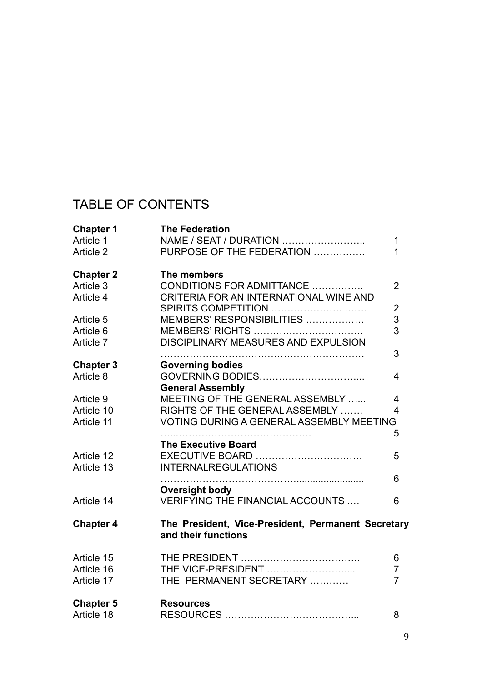## TABLE OF CONTENTS

| <b>Chapter 1</b><br>Article 1<br>Article 2 | <b>The Federation</b><br>NAME / SEAT / DURATION<br>PURPOSE OF THE FEDERATION      | 1<br>1                           |
|--------------------------------------------|-----------------------------------------------------------------------------------|----------------------------------|
| <b>Chapter 2</b><br>Article 3              | The members<br>CONDITIONS FOR ADMITTANCE                                          | $\overline{2}$                   |
| Article 4                                  | CRITERIA FOR AN INTERNATIONAL WINE AND                                            | $\overline{2}$                   |
| Article 5                                  | MEMBERS' RESPONSIBILITIES                                                         | 3                                |
| Article 6<br>Article 7                     | DISCIPLINARY MEASURES AND EXPULSION                                               | 3                                |
| <b>Chapter 3</b>                           | <b>Governing bodies</b>                                                           | 3                                |
| Article 8                                  | <b>General Assembly</b>                                                           | 4                                |
| Article 9                                  | MEETING OF THE GENERAL ASSEMBLY                                                   | $\overline{4}$                   |
| Article 10<br>Article 11                   | RIGHTS OF THE GENERAL ASSEMBLY<br><b>VOTING DURING A GENERAL ASSEMBLY MEETING</b> | 4                                |
|                                            | <b>The Executive Board</b>                                                        | 5                                |
| Article 12<br>Article 13                   | EXECUTIVE BOARD<br><b>INTERNALREGULATIONS</b>                                     | 5                                |
|                                            | <b>Oversight body</b>                                                             | 6                                |
| Article 14                                 | <b>VERIFYING THE FINANCIAL ACCOUNTS </b>                                          | 6                                |
| <b>Chapter 4</b>                           | The President, Vice-President, Permanent Secretary<br>and their functions         |                                  |
| Article 15                                 |                                                                                   | 6                                |
| Article 16<br>Article 17                   | THE VICE-PRESIDENT<br>THE PERMANENT SECRETARY                                     | $\overline{7}$<br>$\overline{7}$ |
| <b>Chapter 5</b><br>Article 18             | <b>Resources</b>                                                                  | 8                                |